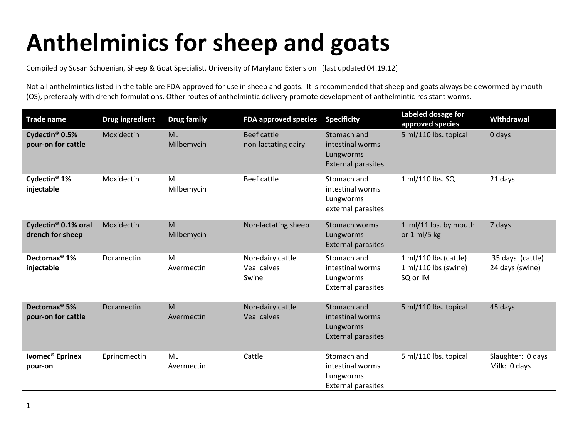## **Anthelminics for sheep and goats**

Compiled by Susan Schoenian, Sheep & Goat Specialist, University of Maryland Extension [last updated 04.19.12]

Not all anthelmintics listed in the table are FDA-approved for use in sheep and goats. It is recommended that sheep and goats always be dewormed by mouth (OS), preferably with drench formulations. Other routes of anthelmintic delivery promote development of anthelmintic-resistant worms.

| <b>Trade name</b>                                   | <b>Drug ingredient</b> | <b>Drug family</b>      | <b>FDA approved species</b>               | <b>Specificity</b>                                                        | Labeled dosage for<br>approved species                    | Withdrawal                          |
|-----------------------------------------------------|------------------------|-------------------------|-------------------------------------------|---------------------------------------------------------------------------|-----------------------------------------------------------|-------------------------------------|
| Cydectin <sup>®</sup> 0.5%<br>pour-on for cattle    | Moxidectin             | <b>ML</b><br>Milbemycin | <b>Beef cattle</b><br>non-lactating dairy | Stomach and<br>intestinal worms<br>Lungworms<br><b>External parasites</b> | 5 ml/110 lbs. topical                                     | 0 days                              |
| Cydectin <sup>®</sup> 1%<br>injectable              | Moxidectin             | ML<br>Milbemycin        | Beef cattle                               | Stomach and<br>intestinal worms<br>Lungworms<br>external parasites        | 1 ml/110 lbs. SQ                                          | 21 days                             |
| Cydectin <sup>®</sup> 0.1% oral<br>drench for sheep | Moxidectin             | <b>ML</b><br>Milbemycin | Non-lactating sheep                       | Stomach worms<br>Lungworms<br><b>External parasites</b>                   | 1 ml/11 lbs. by mouth<br>or $1$ ml/5 kg                   | 7 days                              |
| Dectomax <sup>®</sup> 1%<br>injectable              | Doramectin             | ML<br>Avermectin        | Non-dairy cattle<br>Veal calves<br>Swine  | Stomach and<br>intestinal worms<br>Lungworms<br><b>External parasites</b> | 1 ml/110 lbs (cattle)<br>1 ml/110 lbs (swine)<br>SQ or IM | 35 days (cattle)<br>24 days (swine) |
| Dectomax <sup>®</sup> 5%<br>pour-on for cattle      | Doramectin             | <b>ML</b><br>Avermectin | Non-dairy cattle<br><b>Veal calves</b>    | Stomach and<br>intestinal worms<br>Lungworms<br><b>External parasites</b> | 5 ml/110 lbs. topical                                     | 45 days                             |
| Ivomec <sup>®</sup> Eprinex<br>pour-on              | Eprinomectin           | <b>ML</b><br>Avermectin | Cattle                                    | Stomach and<br>intestinal worms<br>Lungworms<br><b>External parasites</b> | 5 ml/110 lbs. topical                                     | Slaughter: 0 days<br>Milk: 0 days   |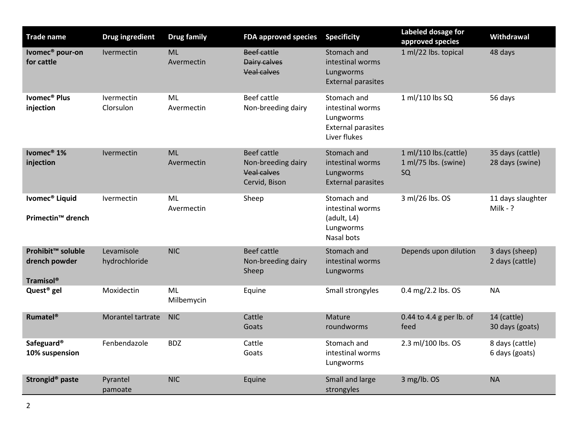| <b>Trade name</b>                                                  | <b>Drug ingredient</b>      | <b>Drug family</b>      | <b>FDA approved species</b>                                                     | <b>Specificity</b>                                                                        | Labeled dosage for<br>approved species              | Withdrawal                          |
|--------------------------------------------------------------------|-----------------------------|-------------------------|---------------------------------------------------------------------------------|-------------------------------------------------------------------------------------------|-----------------------------------------------------|-------------------------------------|
| Ivomec <sup>®</sup> pour-on<br>for cattle                          | Ivermectin                  | <b>ML</b><br>Avermectin | Beef cattle<br>Dairy calves<br><b>Veal calves</b>                               | Stomach and<br>intestinal worms<br>Lungworms<br><b>External parasites</b>                 | 1 ml/22 lbs. topical                                | 48 days                             |
| Ivomec <sup>®</sup> Plus<br>injection                              | Ivermectin<br>Clorsulon     | ML<br>Avermectin        | Beef cattle<br>Non-breeding dairy                                               | Stomach and<br>intestinal worms<br>Lungworms<br><b>External parasites</b><br>Liver flukes | 1 ml/110 lbs SQ                                     | 56 days                             |
| Ivomec <sup>®</sup> 1%<br>injection                                | Ivermectin                  | <b>ML</b><br>Avermectin | <b>Beef cattle</b><br>Non-breeding dairy<br><b>Veal calves</b><br>Cervid, Bison | Stomach and<br>intestinal worms<br>Lungworms<br><b>External parasites</b>                 | 1 ml/110 lbs.(cattle)<br>1 ml/75 lbs. (swine)<br>SQ | 35 days (cattle)<br>28 days (swine) |
| Ivomec <sup>®</sup> Liquid<br>Primectin <sup>™</sup> drench        | Ivermectin                  | ML<br>Avermectin        | Sheep                                                                           | Stomach and<br>intestinal worms<br>(adult, L4)<br>Lungworms<br>Nasal bots                 | 3 ml/26 lbs. OS                                     | 11 days slaughter<br>Milk - $?$     |
| Prohibit <sup>™</sup> soluble<br>drench powder<br><b>Tramisol®</b> | Levamisole<br>hydrochloride | <b>NIC</b>              | <b>Beef cattle</b><br>Non-breeding dairy<br>Sheep                               | Stomach and<br>intestinal worms<br>Lungworms                                              | Depends upon dilution                               | 3 days (sheep)<br>2 days (cattle)   |
| Quest <sup>®</sup> gel                                             | Moxidectin                  | <b>ML</b><br>Milbemycin | Equine                                                                          | Small strongyles                                                                          | 0.4 mg/2.2 lbs. OS                                  | <b>NA</b>                           |
| <b>Rumatel<sup>®</sup></b>                                         | Morantel tartrate           | <b>NIC</b>              | Cattle<br>Goats                                                                 | Mature<br>roundworms                                                                      | 0.44 to 4.4 g per lb. of<br>feed                    | 14 (cattle)<br>30 days (goats)      |
| Safeguard®<br>10% suspension                                       | Fenbendazole                | <b>BDZ</b>              | Cattle<br>Goats                                                                 | Stomach and<br>intestinal worms<br>Lungworms                                              | 2.3 ml/100 lbs. OS                                  | 8 days (cattle)<br>6 days (goats)   |
| Strongid <sup>®</sup> paste                                        | Pyrantel<br>pamoate         | <b>NIC</b>              | Equine                                                                          | Small and large<br>strongyles                                                             | 3 mg/lb. OS                                         | <b>NA</b>                           |